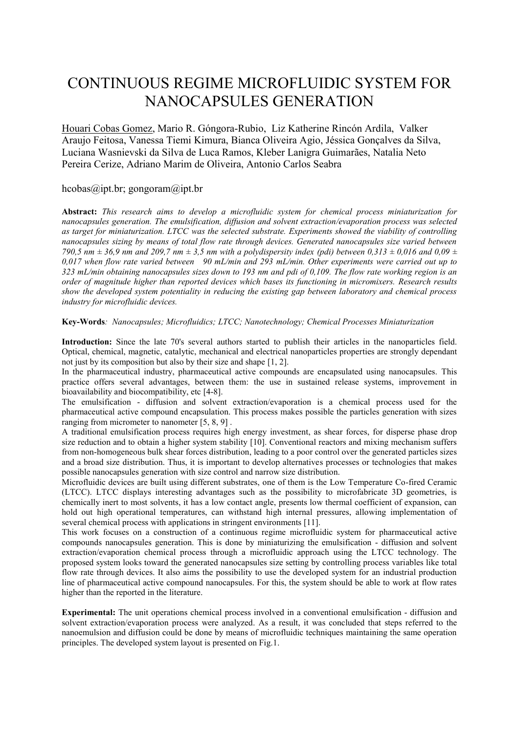## CONTINUOUS REGIME MICROFLUIDIC SYSTEM FOR NANOCAPSULES GENERATION

Houari Cobas Gomez, Mario R. Góngora-Rubio, Liz Katherine Rincón Ardila, Valker Araujo Feitosa, Vanessa Tiemi Kimura, Bianca Oliveira Agio, Jéssica Gonçalves da Silva, Luciana Wasnievski da Silva de Luca Ramos, Kleber Lanigra Guimarães, Natalia Neto Pereira Cerize, Adriano Marim de Oliveira, Antonio Carlos Seabra

## hcobas@ipt.br; gongoram@ipt.br

**Abstract:** *This research aims to develop a microfluidic system for chemical process miniaturization for nanocapsules generation. The emulsification, diffusion and solvent extraction/evaporation process was selected as target for miniaturization. LTCC was the selected substrate. Experiments showed the viability of controlling nanocapsules sizing by means of total flow rate through devices. Generated nanocapsules size varied between 790,5 nm ± 36,9 nm and 209,7 nm ± 3,5 nm with a polydispersity index (pdi) between 0,313 ± 0,016 and 0,09 ± 0,017 when flow rate varied between 90 mL/min and 293 mL/min. Other experiments were carried out up to 323 mL/min obtaining nanocapsules sizes down to 193 nm and pdi of 0,109. The flow rate working region is an order of magnitude higher than reported devices which bases its functioning in micromixers. Research results show the developed system potentiality in reducing the existing gap between laboratory and chemical process industry for microfluidic devices.*

## **Key-Words***: Nanocapsules; Microfluidics; LTCC; Nanotechnology; Chemical Processes Miniaturization*

**Introduction:** Since the late 70's several authors started to publish their articles in the nanoparticles field. Optical, chemical, magnetic, catalytic, mechanical and electrical nanoparticles properties are strongly dependant not just by its composition but also by their size and shape [\[1,](#page-2-0) [2\]](#page-2-1).

In the pharmaceutical industry, pharmaceutical active compounds are encapsulated using nanocapsules. This practice offers several advantages, between them: the use in sustained release systems, improvement in bioavailability and biocompatibility, etc [\[4-8\]](#page-2-2).

The emulsification - diffusion and solvent extraction/evaporation is a chemical process used for the pharmaceutical active compound encapsulation. This process makes possible the particles generation with sizes ranging from micrometer to nanometer [\[5,](#page-2-3) [8,](#page-2-4) [9\]](#page-2-5).

A traditional emulsification process requires high energy investment, as shear forces, for disperse phase drop size reduction and to obtain a higher system stability [\[10\]](#page-2-6). Conventional reactors and mixing mechanism suffers from non-homogeneous bulk shear forces distribution, leading to a poor control over the generated particles sizes and a broad size distribution. Thus, it is important to develop alternatives processes or technologies that makes possible nanocapsules generation with size control and narrow size distribution.

Microfluidic devices are built using different substrates, one of them is the Low Temperature Co-fired Ceramic (LTCC). LTCC displays interesting advantages such as the possibility to microfabricate 3D geometries, is chemically inert to most solvents, it has a low contact angle, presents low thermal coefficient of expansion, can hold out high operational temperatures, can withstand high internal pressures, allowing implementation of several chemical process with applications in stringent environments [\[11\]](#page-2-7).

This work focuses on a construction of a continuous regime microfluidic system for pharmaceutical active compounds nanocapsules generation. This is done by miniaturizing the emulsification - diffusion and solvent extraction/evaporation chemical process through a microfluidic approach using the LTCC technology. The proposed system looks toward the generated nanocapsules size setting by controlling process variables like total flow rate through devices. It also aims the possibility to use the developed system for an industrial production line of pharmaceutical active compound nanocapsules. For this, the system should be able to work at flow rates higher than the reported in the literature.

**Experimental:** The unit operations chemical process involved in a conventional emulsification - diffusion and solvent extraction/evaporation process were analyzed. As a result, it was concluded that steps referred to the nanoemulsion and diffusion could be done by means of microfluidic techniques maintaining the same operation principles. The developed system layout is presented on Fig.1.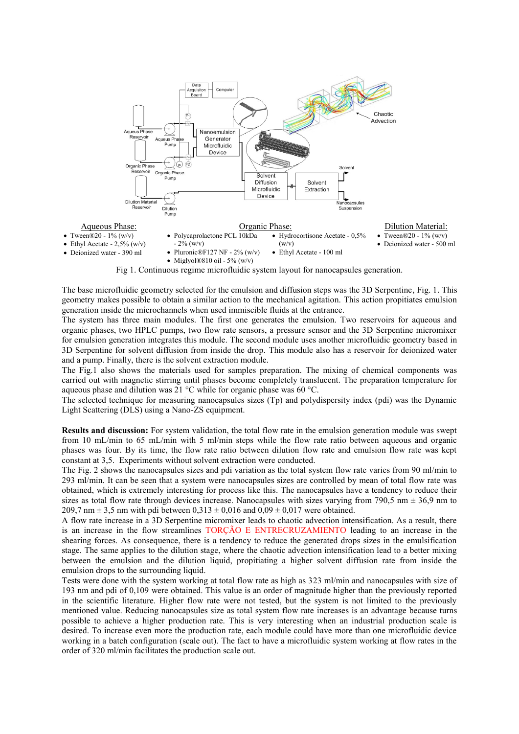

The base microfluidic geometry selected for the emulsion and diffusion steps was the 3D Serpentine, Fig. 1. This geometry makes possible to obtain a similar action to the mechanical agitation. This action propitiates emulsion generation inside the microchannels when used immiscible fluids at the entrance.

The system has three main modules. The first one generates the emulsion. Two reservoirs for aqueous and organic phases, two HPLC pumps, two flow rate sensors, a pressure sensor and the 3D Serpentine micromixer for emulsion generation integrates this module. The second module uses another microfluidic geometry based in 3D Serpentine for solvent diffusion from inside the drop. This module also has a reservoir for deionized water and a pump. Finally, there is the solvent extraction module.

The Fig.1 also shows the materials used for samples preparation. The mixing of chemical components was carried out with magnetic stirring until phases become completely translucent. The preparation temperature for aqueous phase and dilution was 21 °C while for organic phase was 60 °C.

The selected technique for measuring nanocapsules sizes (Tp) and polydispersity index (pdi) was the Dynamic Light Scattering (DLS) using a Nano-ZS equipment.

**Results and discussion:** For system validation, the total flow rate in the emulsion generation module was swept from 10 mL/min to 65 mL/min with 5 ml/min steps while the flow rate ratio between aqueous and organic phases was four. By its time, the flow rate ratio between dilution flow rate and emulsion flow rate was kept constant at 3,5. Experiments without solvent extraction were conducted.

The Fig. 2 shows the nanocapsules sizes and pdi variation as the total system flow rate varies from 90 ml/min to 293 ml/min. It can be seen that a system were nanocapsules sizes are controlled by mean of total flow rate was obtained, which is extremely interesting for process like this. The nanocapsules have a tendency to reduce their sizes as total flow rate through devices increase. Nanocapsules with sizes varying from 790,5 nm  $\pm$  36,9 nm to 209,7 nm  $\pm$  3,5 nm with pdi between 0,313  $\pm$  0,016 and 0,09  $\pm$  0,017 were obtained.

A flow rate increase in a 3D Serpentine micromixer leads to chaotic advection intensification. As a result, there is an increase in the flow streamlines TORÇÃO E ENTRECRUZAMIENTO leading to an increase in the shearing forces. As consequence, there is a tendency to reduce the generated drops sizes in the emulsification stage. The same applies to the dilution stage, where the chaotic advection intensification lead to a better mixing between the emulsion and the dilution liquid, propitiating a higher solvent diffusion rate from inside the emulsion drops to the surrounding liquid.

Tests were done with the system working at total flow rate as high as 323 ml/min and nanocapsules with size of 193 nm and pdi of 0,109 were obtained. This value is an order of magnitude higher than the previously reported in the scientific literature. Higher flow rate were not tested, but the system is not limited to the previously mentioned value. Reducing nanocapsules size as total system flow rate increases is an advantage because turns possible to achieve a higher production rate. This is very interesting when an industrial production scale is desired. To increase even more the production rate, each module could have more than one microfluidic device working in a batch configuration (scale out). The fact to have a microfluidic system working at flow rates in the order of 320 ml/min facilitates the production scale out.